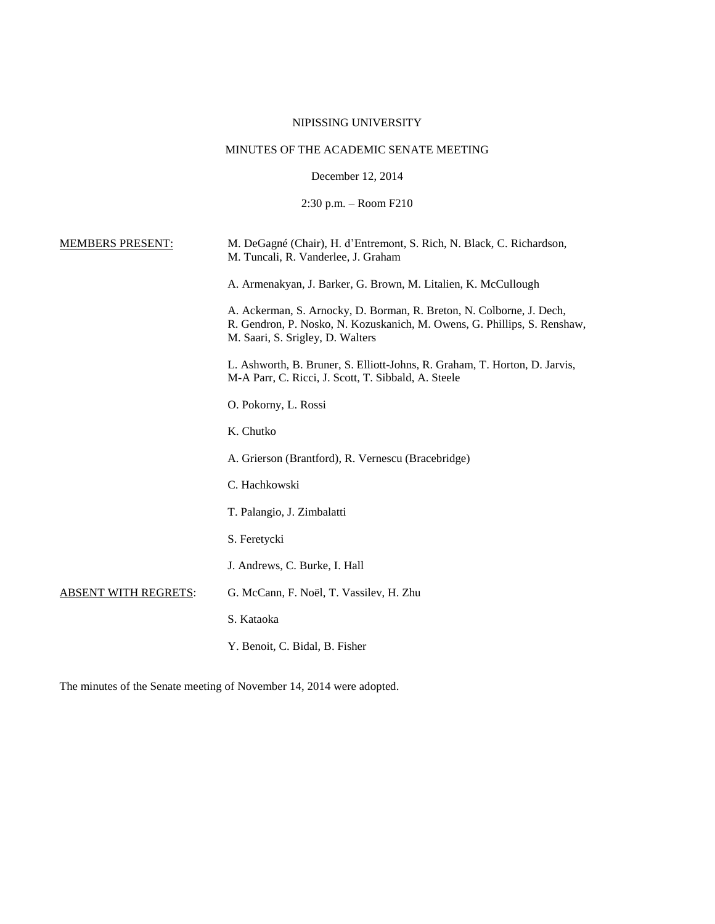# NIPISSING UNIVERSITY

# MINUTES OF THE ACADEMIC SENATE MEETING

December 12, 2014

2:30 p.m. – Room F210

| <b>MEMBERS PRESENT:</b>     | M. DeGagné (Chair), H. d'Entremont, S. Rich, N. Black, C. Richardson,<br>M. Tuncali, R. Vanderlee, J. Graham                                                                         |
|-----------------------------|--------------------------------------------------------------------------------------------------------------------------------------------------------------------------------------|
|                             | A. Armenakyan, J. Barker, G. Brown, M. Litalien, K. McCullough                                                                                                                       |
|                             | A. Ackerman, S. Arnocky, D. Borman, R. Breton, N. Colborne, J. Dech,<br>R. Gendron, P. Nosko, N. Kozuskanich, M. Owens, G. Phillips, S. Renshaw,<br>M. Saari, S. Srigley, D. Walters |
|                             | L. Ashworth, B. Bruner, S. Elliott-Johns, R. Graham, T. Horton, D. Jarvis,<br>M-A Parr, C. Ricci, J. Scott, T. Sibbald, A. Steele                                                    |
|                             | O. Pokorny, L. Rossi                                                                                                                                                                 |
|                             | K. Chutko                                                                                                                                                                            |
|                             | A. Grierson (Brantford), R. Vernescu (Bracebridge)                                                                                                                                   |
|                             | C. Hachkowski                                                                                                                                                                        |
|                             | T. Palangio, J. Zimbalatti                                                                                                                                                           |
|                             | S. Feretycki                                                                                                                                                                         |
|                             | J. Andrews, C. Burke, I. Hall                                                                                                                                                        |
| <b>ABSENT WITH REGRETS:</b> | G. McCann, F. Noël, T. Vassilev, H. Zhu                                                                                                                                              |
|                             | S. Kataoka                                                                                                                                                                           |
|                             | Y. Benoit, C. Bidal, B. Fisher                                                                                                                                                       |

The minutes of the Senate meeting of November 14, 2014 were adopted.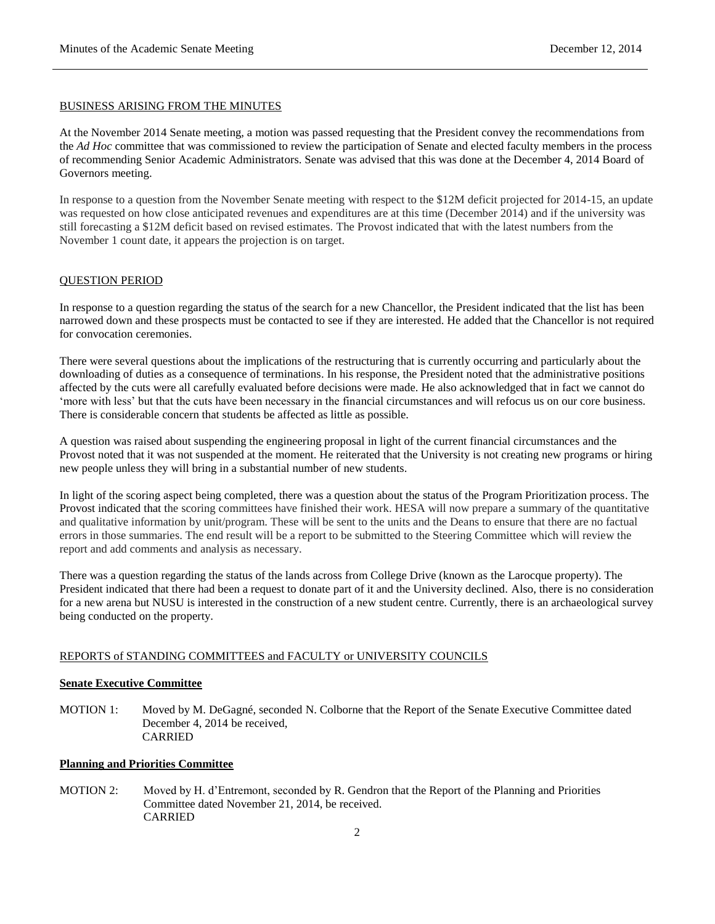### BUSINESS ARISING FROM THE MINUTES

At the November 2014 Senate meeting, a motion was passed requesting that the President convey the recommendations from the *Ad Hoc* committee that was commissioned to review the participation of Senate and elected faculty members in the process of recommending Senior Academic Administrators. Senate was advised that this was done at the December 4, 2014 Board of Governors meeting.

In response to a question from the November Senate meeting with respect to the \$12M deficit projected for 2014-15, an update was requested on how close anticipated revenues and expenditures are at this time (December 2014) and if the university was still forecasting a \$12M deficit based on revised estimates. The Provost indicated that with the latest numbers from the November 1 count date, it appears the projection is on target.

### QUESTION PERIOD

In response to a question regarding the status of the search for a new Chancellor, the President indicated that the list has been narrowed down and these prospects must be contacted to see if they are interested. He added that the Chancellor is not required for convocation ceremonies.

There were several questions about the implications of the restructuring that is currently occurring and particularly about the downloading of duties as a consequence of terminations. In his response, the President noted that the administrative positions affected by the cuts were all carefully evaluated before decisions were made. He also acknowledged that in fact we cannot do 'more with less' but that the cuts have been necessary in the financial circumstances and will refocus us on our core business. There is considerable concern that students be affected as little as possible.

A question was raised about suspending the engineering proposal in light of the current financial circumstances and the Provost noted that it was not suspended at the moment. He reiterated that the University is not creating new programs or hiring new people unless they will bring in a substantial number of new students.

In light of the scoring aspect being completed, there was a question about the status of the Program Prioritization process. The Provost indicated that the scoring committees have finished their work. HESA will now prepare a summary of the quantitative and qualitative information by unit/program. These will be sent to the units and the Deans to ensure that there are no factual errors in those summaries. The end result will be a report to be submitted to the Steering Committee which will review the report and add comments and analysis as necessary.

There was a question regarding the status of the lands across from College Drive (known as the Larocque property). The President indicated that there had been a request to donate part of it and the University declined. Also, there is no consideration for a new arena but NUSU is interested in the construction of a new student centre. Currently, there is an archaeological survey being conducted on the property.

### REPORTS of STANDING COMMITTEES and FACULTY or UNIVERSITY COUNCILS

### **Senate Executive Committee**

MOTION 1: Moved by M. DeGagné, seconded N. Colborne that the Report of the Senate Executive Committee dated December 4, 2014 be received, CARRIED

#### **Planning and Priorities Committee**

MOTION 2: Moved by H. d'Entremont, seconded by R. Gendron that the Report of the Planning and Priorities Committee dated November 21, 2014, be received. CARRIED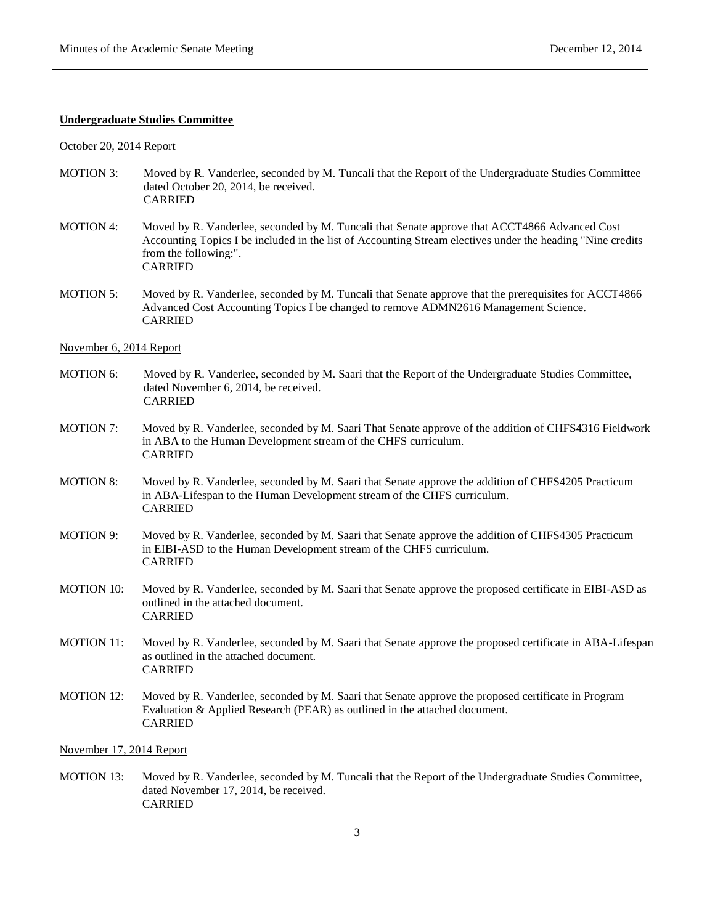### **Undergraduate Studies Committee**

#### October 20, 2014 Report

- MOTION 3: Moved by R. Vanderlee, seconded by M. Tuncali that the Report of the Undergraduate Studies Committee dated October 20, 2014, be received. CARRIED
- MOTION 4: Moved by R. Vanderlee, seconded by M. Tuncali that Senate approve that ACCT4866 Advanced Cost Accounting Topics I be included in the list of Accounting Stream electives under the heading "Nine credits from the following:". CARRIED
- MOTION 5: Moved by R. Vanderlee, seconded by M. Tuncali that Senate approve that the prerequisites for ACCT4866 Advanced Cost Accounting Topics I be changed to remove ADMN2616 Management Science. CARRIED

#### November 6, 2014 Report

- MOTION 6: Moved by R. Vanderlee, seconded by M. Saari that the Report of the Undergraduate Studies Committee, dated November 6, 2014, be received. CARRIED
- MOTION 7: Moved by R. Vanderlee, seconded by M. Saari That Senate approve of the addition of CHFS4316 Fieldwork in ABA to the Human Development stream of the CHFS curriculum. CARRIED
- MOTION 8: Moved by R. Vanderlee, seconded by M. Saari that Senate approve the addition of CHFS4205 Practicum in ABA-Lifespan to the Human Development stream of the CHFS curriculum. CARRIED
- MOTION 9: Moved by R. Vanderlee, seconded by M. Saari that Senate approve the addition of CHFS4305 Practicum in EIBI-ASD to the Human Development stream of the CHFS curriculum. CARRIED
- MOTION 10: Moved by R. Vanderlee, seconded by M. Saari that Senate approve the proposed certificate in EIBI-ASD as outlined in the attached document. CARRIED
- MOTION 11: Moved by R. Vanderlee, seconded by M. Saari that Senate approve the proposed certificate in ABA-Lifespan as outlined in the attached document. CARRIED
- MOTION 12: Moved by R. Vanderlee, seconded by M. Saari that Senate approve the proposed certificate in Program Evaluation & Applied Research (PEAR) as outlined in the attached document. CARRIED

November 17, 2014 Report

MOTION 13: Moved by R. Vanderlee, seconded by M. Tuncali that the Report of the Undergraduate Studies Committee, dated November 17, 2014, be received. CARRIED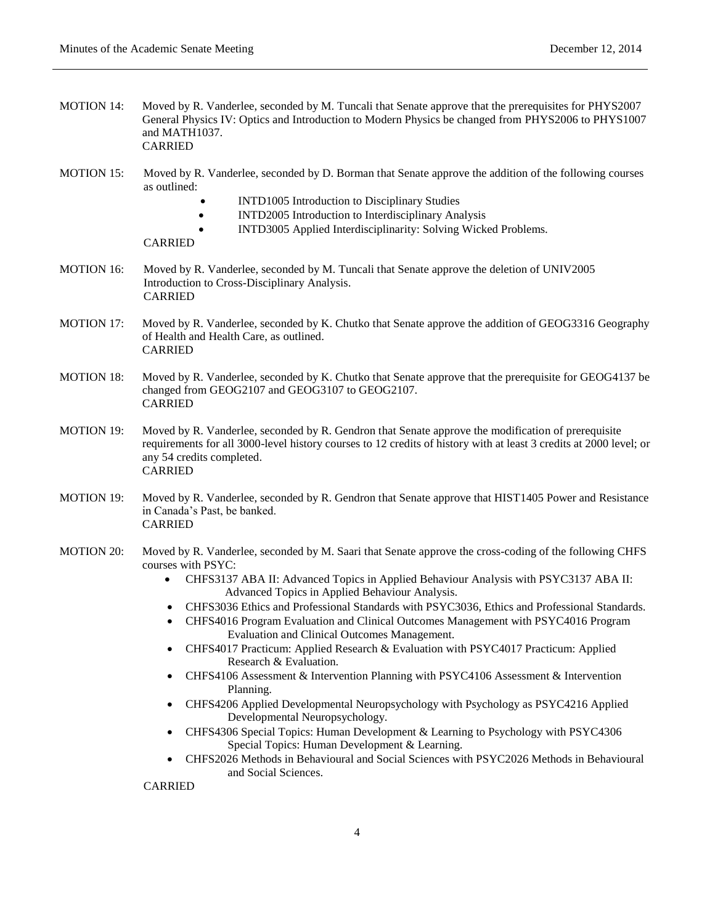| <b>MOTION 14:</b> | Moved by R. Vanderlee, seconded by M. Tuncali that Senate approve that the prerequisites for PHYS2007<br>General Physics IV: Optics and Introduction to Modern Physics be changed from PHYS2006 to PHYS1007<br>and MATH1037.<br><b>CARRIED</b>                                                                                                                                                                                                                                                                                                                                                                                                                                                                                                                                                                                                                                                                                                                                                                                                                                                                                  |
|-------------------|---------------------------------------------------------------------------------------------------------------------------------------------------------------------------------------------------------------------------------------------------------------------------------------------------------------------------------------------------------------------------------------------------------------------------------------------------------------------------------------------------------------------------------------------------------------------------------------------------------------------------------------------------------------------------------------------------------------------------------------------------------------------------------------------------------------------------------------------------------------------------------------------------------------------------------------------------------------------------------------------------------------------------------------------------------------------------------------------------------------------------------|
| <b>MOTION 15:</b> | Moved by R. Vanderlee, seconded by D. Borman that Senate approve the addition of the following courses<br>as outlined:<br>INTD1005 Introduction to Disciplinary Studies<br>INTD2005 Introduction to Interdisciplinary Analysis<br>INTD3005 Applied Interdisciplinarity: Solving Wicked Problems.<br><b>CARRIED</b>                                                                                                                                                                                                                                                                                                                                                                                                                                                                                                                                                                                                                                                                                                                                                                                                              |
| <b>MOTION 16:</b> | Moved by R. Vanderlee, seconded by M. Tuncali that Senate approve the deletion of UNIV2005<br>Introduction to Cross-Disciplinary Analysis.<br><b>CARRIED</b>                                                                                                                                                                                                                                                                                                                                                                                                                                                                                                                                                                                                                                                                                                                                                                                                                                                                                                                                                                    |
| <b>MOTION 17:</b> | Moved by R. Vanderlee, seconded by K. Chutko that Senate approve the addition of GEOG3316 Geography<br>of Health and Health Care, as outlined.<br><b>CARRIED</b>                                                                                                                                                                                                                                                                                                                                                                                                                                                                                                                                                                                                                                                                                                                                                                                                                                                                                                                                                                |
| <b>MOTION 18:</b> | Moved by R. Vanderlee, seconded by K. Chutko that Senate approve that the prerequisite for GEOG4137 be<br>changed from GEOG2107 and GEOG3107 to GEOG2107.<br><b>CARRIED</b>                                                                                                                                                                                                                                                                                                                                                                                                                                                                                                                                                                                                                                                                                                                                                                                                                                                                                                                                                     |
| <b>MOTION 19:</b> | Moved by R. Vanderlee, seconded by R. Gendron that Senate approve the modification of prerequisite<br>requirements for all 3000-level history courses to 12 credits of history with at least 3 credits at 2000 level; or<br>any 54 credits completed.<br><b>CARRIED</b>                                                                                                                                                                                                                                                                                                                                                                                                                                                                                                                                                                                                                                                                                                                                                                                                                                                         |
| <b>MOTION 19:</b> | Moved by R. Vanderlee, seconded by R. Gendron that Senate approve that HIST1405 Power and Resistance<br>in Canada's Past, be banked.<br><b>CARRIED</b>                                                                                                                                                                                                                                                                                                                                                                                                                                                                                                                                                                                                                                                                                                                                                                                                                                                                                                                                                                          |
| <b>MOTION 20:</b> | Moved by R. Vanderlee, seconded by M. Saari that Senate approve the cross-coding of the following CHFS<br>courses with PSYC:<br>CHFS3137 ABA II: Advanced Topics in Applied Behaviour Analysis with PSYC3137 ABA II:<br>$\bullet$<br>Advanced Topics in Applied Behaviour Analysis.<br>CHFS3036 Ethics and Professional Standards with PSYC3036, Ethics and Professional Standards.<br>CHFS4016 Program Evaluation and Clinical Outcomes Management with PSYC4016 Program<br>Evaluation and Clinical Outcomes Management.<br>CHFS4017 Practicum: Applied Research & Evaluation with PSYC4017 Practicum: Applied<br>Research & Evaluation.<br>CHFS4106 Assessment & Intervention Planning with PSYC4106 Assessment & Intervention<br>Planning.<br>CHFS4206 Applied Developmental Neuropsychology with Psychology as PSYC4216 Applied<br>Developmental Neuropsychology.<br>CHFS4306 Special Topics: Human Development & Learning to Psychology with PSYC4306<br>Special Topics: Human Development & Learning.<br>CHFS2026 Methods in Behavioural and Social Sciences with PSYC2026 Methods in Behavioural<br>and Social Sciences. |

CARRIED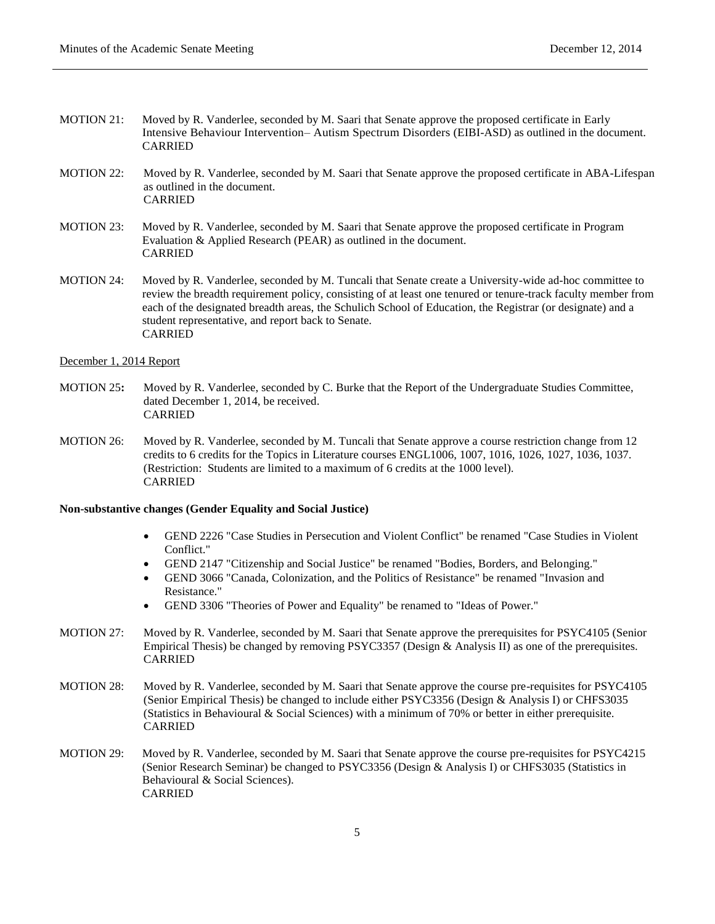- MOTION 21: Moved by R. Vanderlee, seconded by M. Saari that Senate approve the proposed certificate in Early Intensive Behaviour Intervention– Autism Spectrum Disorders (EIBI-ASD) as outlined in the document. CARRIED
- MOTION 22: Moved by R. Vanderlee, seconded by M. Saari that Senate approve the proposed certificate in ABA-Lifespan as outlined in the document. CARRIED
- MOTION 23: Moved by R. Vanderlee, seconded by M. Saari that Senate approve the proposed certificate in Program Evaluation & Applied Research (PEAR) as outlined in the document. CARRIED
- MOTION 24: Moved by R. Vanderlee, seconded by M. Tuncali that Senate create a University-wide ad-hoc committee to review the breadth requirement policy, consisting of at least one tenured or tenure-track faculty member from each of the designated breadth areas, the Schulich School of Education, the Registrar (or designate) and a student representative, and report back to Senate. CARRIED

# December 1, 2014 Report

- MOTION 25**:** Moved by R. Vanderlee, seconded by C. Burke that the Report of the Undergraduate Studies Committee, dated December 1, 2014, be received. CARRIED
- MOTION 26: Moved by R. Vanderlee, seconded by M. Tuncali that Senate approve a course restriction change from 12 credits to 6 credits for the Topics in Literature courses ENGL1006, 1007, 1016, 1026, 1027, 1036, 1037. (Restriction: Students are limited to a maximum of 6 credits at the 1000 level). CARRIED

## **Non-substantive changes (Gender Equality and Social Justice)**

- GEND 2226 "Case Studies in Persecution and Violent Conflict" be renamed "Case Studies in Violent Conflict."
- GEND 2147 "Citizenship and Social Justice" be renamed "Bodies, Borders, and Belonging."
- GEND 3066 "Canada, Colonization, and the Politics of Resistance" be renamed "Invasion and Resistance."
- GEND 3306 "Theories of Power and Equality" be renamed to "Ideas of Power."
- MOTION 27: Moved by R. Vanderlee, seconded by M. Saari that Senate approve the prerequisites for PSYC4105 (Senior Empirical Thesis) be changed by removing PSYC3357 (Design & Analysis II) as one of the prerequisites. CARRIED
- MOTION 28: Moved by R. Vanderlee, seconded by M. Saari that Senate approve the course pre-requisites for PSYC4105 (Senior Empirical Thesis) be changed to include either PSYC3356 (Design & Analysis I) or CHFS3035 (Statistics in Behavioural & Social Sciences) with a minimum of 70% or better in either prerequisite. CARRIED
- MOTION 29: Moved by R. Vanderlee, seconded by M. Saari that Senate approve the course pre-requisites for PSYC4215 (Senior Research Seminar) be changed to PSYC3356 (Design & Analysis I) or CHFS3035 (Statistics in Behavioural & Social Sciences). CARRIED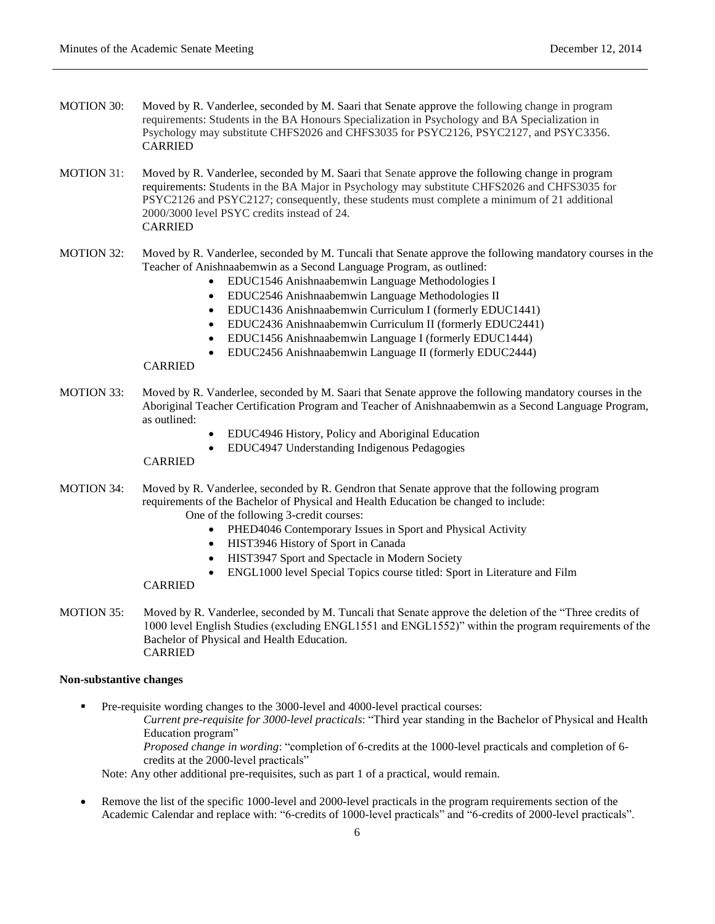- MOTION 30: Moved by R. Vanderlee, seconded by M. Saari that Senate approve the following change in program requirements: Students in the BA Honours Specialization in Psychology and BA Specialization in Psychology may substitute CHFS2026 and CHFS3035 for PSYC2126, PSYC2127, and PSYC3356. CARRIED
- MOTION 31: Moved by R. Vanderlee, seconded by M. Saari that Senate approve the following change in program requirements: Students in the BA Major in Psychology may substitute CHFS2026 and CHFS3035 for PSYC2126 and PSYC2127; consequently, these students must complete a minimum of 21 additional 2000/3000 level PSYC credits instead of 24. CARRIED
- MOTION 32: Moved by R. Vanderlee, seconded by M. Tuncali that Senate approve the following mandatory courses in the Teacher of Anishnaabemwin as a Second Language Program, as outlined:
	- EDUC1546 Anishnaabemwin Language Methodologies I
	- EDUC2546 Anishnaabemwin Language Methodologies II
	- EDUC1436 Anishnaabemwin Curriculum I (formerly EDUC1441)
	- EDUC2436 Anishnaabemwin Curriculum II (formerly EDUC2441)
	- EDUC1456 Anishnaabemwin Language I (formerly EDUC1444)
	- EDUC2456 Anishnaabemwin Language II (formerly EDUC2444)

### CARRIED

- MOTION 33: Moved by R. Vanderlee, seconded by M. Saari that Senate approve the following mandatory courses in the Aboriginal Teacher Certification Program and Teacher of Anishnaabemwin as a Second Language Program, as outlined:
	- EDUC4946 History, Policy and Aboriginal Education
	- EDUC4947 Understanding Indigenous Pedagogies

# CARRIED

- MOTION 34: Moved by R. Vanderlee, seconded by R. Gendron that Senate approve that the following program requirements of the Bachelor of Physical and Health Education be changed to include: One of the following 3-credit courses:
	- PHED4046 Contemporary Issues in Sport and Physical Activity
	- HIST3946 History of Sport in Canada
	- HIST3947 Sport and Spectacle in Modern Society
	- ENGL1000 level Special Topics course titled: Sport in Literature and Film

# CARRIED

MOTION 35: Moved by R. Vanderlee, seconded by M. Tuncali that Senate approve the deletion of the "Three credits of 1000 level English Studies (excluding ENGL1551 and ENGL1552)" within the program requirements of the Bachelor of Physical and Health Education. CARRIED

### **Non-substantive changes**

- Pre-requisite wording changes to the 3000-level and 4000-level practical courses:
	- *Current pre-requisite for 3000-level practicals*: "Third year standing in the Bachelor of Physical and Health Education program"
	- *Proposed change in wording*: "completion of 6-credits at the 1000-level practicals and completion of 6 credits at the 2000-level practicals"

Note: Any other additional pre-requisites, such as part 1 of a practical, would remain.

 Remove the list of the specific 1000-level and 2000-level practicals in the program requirements section of the Academic Calendar and replace with: "6-credits of 1000-level practicals" and "6-credits of 2000-level practicals".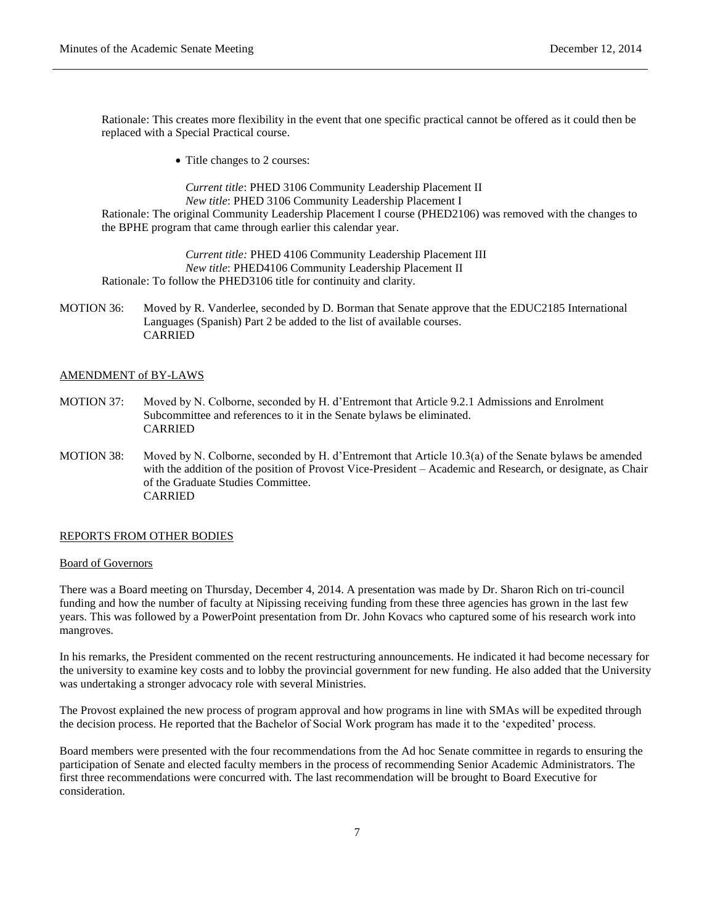Rationale: This creates more flexibility in the event that one specific practical cannot be offered as it could then be replaced with a Special Practical course.

• Title changes to 2 courses:

*Current title*: PHED 3106 Community Leadership Placement II *New title*: PHED 3106 Community Leadership Placement I Rationale: The original Community Leadership Placement I course (PHED2106) was removed with the changes to the BPHE program that came through earlier this calendar year.

*Current title:* PHED 4106 Community Leadership Placement III *New title*: PHED4106 Community Leadership Placement II Rationale: To follow the PHED3106 title for continuity and clarity.

MOTION 36: Moved by R. Vanderlee, seconded by D. Borman that Senate approve that the EDUC2185 International Languages (Spanish) Part 2 be added to the list of available courses. CARRIED

### AMENDMENT of BY-LAWS

- MOTION 37: Moved by N. Colborne, seconded by H. d'Entremont that Article 9.2.1 Admissions and Enrolment Subcommittee and references to it in the Senate bylaws be eliminated. CARRIED
- MOTION 38: Moved by N. Colborne, seconded by H. d'Entremont that Article 10.3(a) of the Senate bylaws be amended with the addition of the position of Provost Vice-President – Academic and Research, or designate, as Chair of the Graduate Studies Committee. CARRIED

#### REPORTS FROM OTHER BODIES

#### Board of Governors

There was a Board meeting on Thursday, December 4, 2014. A presentation was made by Dr. Sharon Rich on tri-council funding and how the number of faculty at Nipissing receiving funding from these three agencies has grown in the last few years. This was followed by a PowerPoint presentation from Dr. John Kovacs who captured some of his research work into mangroves.

In his remarks, the President commented on the recent restructuring announcements. He indicated it had become necessary for the university to examine key costs and to lobby the provincial government for new funding. He also added that the University was undertaking a stronger advocacy role with several Ministries.

The Provost explained the new process of program approval and how programs in line with SMAs will be expedited through the decision process. He reported that the Bachelor of Social Work program has made it to the 'expedited' process.

Board members were presented with the four recommendations from the Ad hoc Senate committee in regards to ensuring the participation of Senate and elected faculty members in the process of recommending Senior Academic Administrators. The first three recommendations were concurred with. The last recommendation will be brought to Board Executive for consideration.